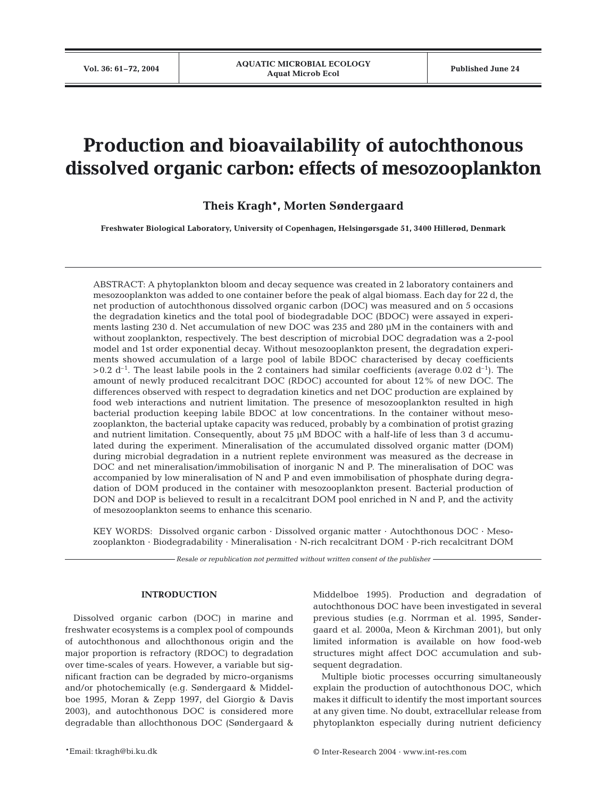# **Production and bioavailability of autochthonous dissolved organic carbon: effects of mesozooplankton**

# **Theis Kragh\*, Morten Søndergaard**

**Freshwater Biological Laboratory, University of Copenhagen, Helsingørsgade 51, 3400 Hillerød, Denmark**

ABSTRACT: A phytoplankton bloom and decay sequence was created in 2 laboratory containers and mesozooplankton was added to one container before the peak of algal biomass. Each day for 22 d, the net production of autochthonous dissolved organic carbon (DOC) was measured and on 5 occasions the degradation kinetics and the total pool of biodegradable DOC (BDOC) were assayed in experiments lasting 230 d. Net accumulation of new DOC was 235 and 280 µM in the containers with and without zooplankton, respectively. The best description of microbial DOC degradation was a 2-pool model and 1st order exponential decay. Without mesozooplankton present, the degradation experiments showed accumulation of a large pool of labile BDOC characterised by decay coefficients  $>0.2$  d<sup>-1</sup>. The least labile pools in the 2 containers had similar coefficients (average 0.02 d<sup>-1</sup>). The amount of newly produced recalcitrant DOC (RDOC) accounted for about 12% of new DOC. The differences observed with respect to degradation kinetics and net DOC production are explained by food web interactions and nutrient limitation. The presence of mesozooplankton resulted in high bacterial production keeping labile BDOC at low concentrations. In the container without mesozooplankton, the bacterial uptake capacity was reduced, probably by a combination of protist grazing and nutrient limitation. Consequently, about 75 µM BDOC with a half-life of less than 3 d accumulated during the experiment. Mineralisation of the accumulated dissolved organic matter (DOM) during microbial degradation in a nutrient replete environment was measured as the decrease in DOC and net mineralisation/immobilisation of inorganic N and P. The mineralisation of DOC was accompanied by low mineralisation of N and P and even immobilisation of phosphate during degradation of DOM produced in the container with mesozooplankton present. Bacterial production of DON and DOP is believed to result in a recalcitrant DOM pool enriched in N and P, and the activity of mesozooplankton seems to enhance this scenario.

KEY WORDS: Dissolved organic carbon · Dissolved organic matter · Autochthonous DOC · Mesozooplankton · Biodegradability · Mineralisation · N-rich recalcitrant DOM · P-rich recalcitrant DOM

*Resale or republication not permitted without written consent of the publisher*

# **INTRODUCTION**

Dissolved organic carbon (DOC) in marine and freshwater ecosystems is a complex pool of compounds of autochthonous and allochthonous origin and the major proportion is refractory (RDOC) to degradation over time-scales of years. However, a variable but significant fraction can be degraded by micro-organisms and/or photochemically (e.g. Søndergaard & Middelboe 1995, Moran & Zepp 1997, del Giorgio & Davis 2003), and autochthonous DOC is considered more degradable than allochthonous DOC (Søndergaard &

Middelboe 1995). Production and degradation of autochthonous DOC have been investigated in several previous studies (e.g. Norrman et al. 1995, Søndergaard et al. 2000a, Meon & Kirchman 2001), but only limited information is available on how food-web structures might affect DOC accumulation and subsequent degradation.

Multiple biotic processes occurring simultaneously explain the production of autochthonous DOC, which makes it difficult to identify the most important sources at any given time. No doubt, extracellular release from phytoplankton especially during nutrient deficiency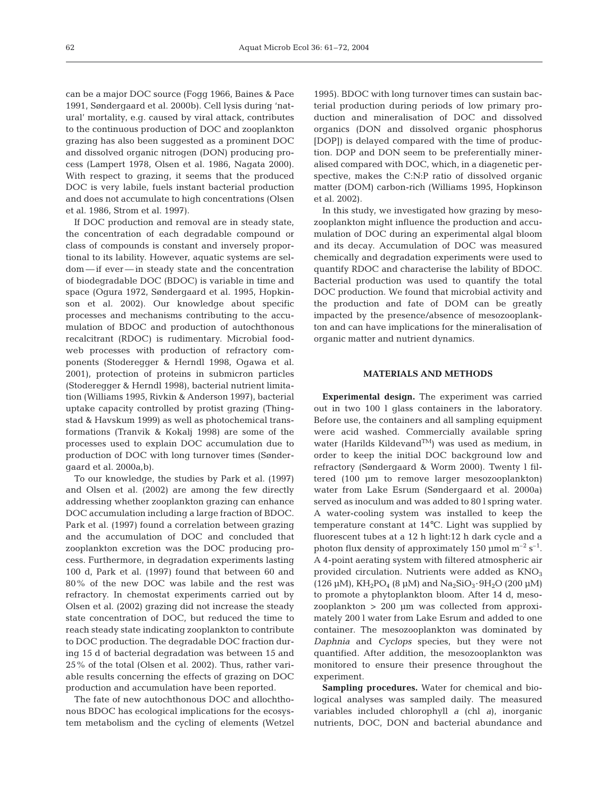can be a major DOC source (Fogg 1966, Baines & Pace 1991, Søndergaard et al. 2000b). Cell lysis during 'natural' mortality, e.g. caused by viral attack, contributes to the continuous production of DOC and zooplankton grazing has also been suggested as a prominent DOC and dissolved organic nitrogen (DON) producing process (Lampert 1978, Olsen et al. 1986, Nagata 2000). With respect to grazing, it seems that the produced DOC is very labile, fuels instant bacterial production and does not accumulate to high concentrations (Olsen et al. 1986, Strom et al. 1997).

If DOC production and removal are in steady state, the concentration of each degradable compound or class of compounds is constant and inversely proportional to its lability. However, aquatic systems are seldom — if ever — in steady state and the concentration of biodegradable DOC (BDOC) is variable in time and space (Ogura 1972, Søndergaard et al. 1995, Hopkinson et al. 2002). Our knowledge about specific processes and mechanisms contributing to the accumulation of BDOC and production of autochthonous recalcitrant (RDOC) is rudimentary. Microbial foodweb processes with production of refractory components (Stoderegger & Herndl 1998, Ogawa et al. 2001), protection of proteins in submicron particles (Stoderegger & Herndl 1998), bacterial nutrient limitation (Williams 1995, Rivkin & Anderson 1997), bacterial uptake capacity controlled by protist grazing (Thingstad & Havskum 1999) as well as photochemical transformations (Tranvik & Kokalj 1998) are some of the processes used to explain DOC accumulation due to production of DOC with long turnover times (Søndergaard et al. 2000a,b).

To our knowledge, the studies by Park et al. (1997) and Olsen et al. (2002) are among the few directly addressing whether zooplankton grazing can enhance DOC accumulation including a large fraction of BDOC. Park et al. (1997) found a correlation between grazing and the accumulation of DOC and concluded that zooplankton excretion was the DOC producing process. Furthermore, in degradation experiments lasting 100 d, Park et al. (1997) found that between 60 and 80% of the new DOC was labile and the rest was refractory. In chemostat experiments carried out by Olsen et al. (2002) grazing did not increase the steady state concentration of DOC, but reduced the time to reach steady state indicating zooplankton to contribute to DOC production. The degradable DOC fraction during 15 d of bacterial degradation was between 15 and 25% of the total (Olsen et al. 2002). Thus, rather variable results concerning the effects of grazing on DOC production and accumulation have been reported.

The fate of new autochthonous DOC and allochthonous BDOC has ecological implications for the ecosystem metabolism and the cycling of elements (Wetzel 1995). BDOC with long turnover times can sustain bacterial production during periods of low primary production and mineralisation of DOC and dissolved organics (DON and dissolved organic phosphorus [DOP]) is delayed compared with the time of production. DOP and DON seem to be preferentially mineralised compared with DOC, which, in a diagenetic perspective, makes the C:N:P ratio of dissolved organic matter (DOM) carbon-rich (Williams 1995, Hopkinson et al. 2002).

In this study, we investigated how grazing by mesozooplankton might influence the production and accumulation of DOC during an experimental algal bloom and its decay. Accumulation of DOC was measured chemically and degradation experiments were used to quantify RDOC and characterise the lability of BDOC. Bacterial production was used to quantify the total DOC production. We found that microbial activity and the production and fate of DOM can be greatly impacted by the presence/absence of mesozooplankton and can have implications for the mineralisation of organic matter and nutrient dynamics.

# **MATERIALS AND METHODS**

**Experimental design.** The experiment was carried out in two 100 l glass containers in the laboratory. Before use, the containers and all sampling equipment were acid washed. Commercially available spring water (Harilds Kildevand<sup>TM</sup>) was used as medium, in order to keep the initial DOC background low and refractory (Søndergaard & Worm 2000). Twenty l filtered (100 µm to remove larger mesozooplankton) water from Lake Esrum (Søndergaard et al. 2000a) served as inoculum and was added to 80 l spring water. A water-cooling system was installed to keep the temperature constant at 14°C. Light was supplied by fluorescent tubes at a 12 h light:12 h dark cycle and a photon flux density of approximately 150 µmol  $m^{-2}$  s<sup>-1</sup>. A 4-point aerating system with filtered atmospheric air provided circulation. Nutrients were added as  $KNO<sub>3</sub>$ (126 µM),  $KH_2PO_4$  (8 µM) and  $Na_2SiO_3.9H_2O$  (200 µM) to promote a phytoplankton bloom. After 14 d, mesozooplankton > 200 µm was collected from approximately 200 l water from Lake Esrum and added to one container. The mesozooplankton was dominated by *Daphnia* and *Cyclops* species, but they were not quantified. After addition, the mesozooplankton was monitored to ensure their presence throughout the experiment.

**Sampling procedures.** Water for chemical and biological analyses was sampled daily. The measured variables included chlorophyll *a* (chl *a*), inorganic nutrients, DOC, DON and bacterial abundance and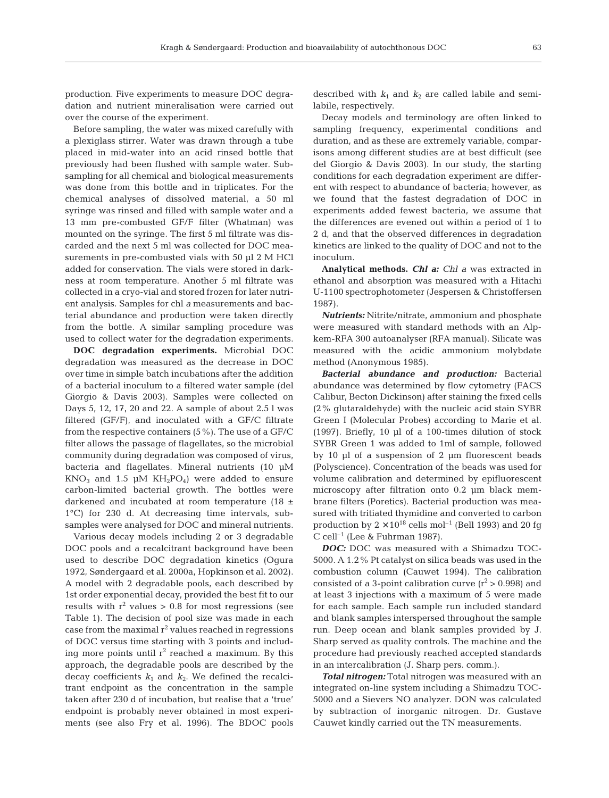over the course of the experiment.

Before sampling, the water was mixed carefully with a plexiglass stirrer. Water was drawn through a tube placed in mid-water into an acid rinsed bottle that previously had been flushed with sample water. Subsampling for all chemical and biological measurements was done from this bottle and in triplicates. For the chemical analyses of dissolved material, a 50 ml syringe was rinsed and filled with sample water and a 13 mm pre-combusted GF/F filter (Whatman) was mounted on the syringe. The first 5 ml filtrate was discarded and the next 5 ml was collected for DOC measurements in pre-combusted vials with 50 µl 2 M HCl added for conservation. The vials were stored in darkness at room temperature. Another 5 ml filtrate was collected in a cryo-vial and stored frozen for later nutrient analysis. Samples for chl *a* measurements and bacterial abundance and production were taken directly from the bottle. A similar sampling procedure was used to collect water for the degradation experiments.

**DOC degradation experiments.** Microbial DOC degradation was measured as the decrease in DOC over time in simple batch incubations after the addition of a bacterial inoculum to a filtered water sample (del Giorgio & Davis 2003). Samples were collected on Days 5, 12, 17, 20 and 22. A sample of about 2.5 l was filtered (GF/F), and inoculated with a GF/C filtrate from the respective containers (5%). The use of a GF/C filter allows the passage of flagellates, so the microbial community during degradation was composed of virus, bacteria and flagellates. Mineral nutrients (10 µM  $KNO_3$  and 1.5 µM  $KH_2PO_4$ ) were added to ensure carbon-limited bacterial growth. The bottles were darkened and incubated at room temperature (18  $\pm$ 1°C) for 230 d. At decreasing time intervals, subsamples were analysed for DOC and mineral nutrients.

Various decay models including 2 or 3 degradable DOC pools and a recalcitrant background have been used to describe DOC degradation kinetics (Ogura 1972, Søndergaard et al. 2000a, Hopkinson et al. 2002). A model with 2 degradable pools, each described by 1st order exponential decay, provided the best fit to our results with  $r^2$  values  $> 0.8$  for most regressions (see Table 1). The decision of pool size was made in each case from the maximal  $r^2$  values reached in regressions of DOC versus time starting with 3 points and including more points until  $r^2$  reached a maximum. By this approach, the degradable pools are described by the decay coefficients  $k_1$  and  $k_2$ . We defined the recalcitrant endpoint as the concentration in the sample taken after 230 d of incubation, but realise that a 'true' endpoint is probably never obtained in most experiments (see also Fry et al. 1996). The BDOC pools

described with  $k_1$  and  $k_2$  are called labile and semilabile, respectively.

Decay models and terminology are often linked to sampling frequency, experimental conditions and duration, and as these are extremely variable, comparisons among different studies are at best difficult (see del Giorgio & Davis 2003). In our study, the starting conditions for each degradation experiment are different with respect to abundance of bacteria; however, as we found that the fastest degradation of DOC in experiments added fewest bacteria, we assume that the differences are evened out within a period of 1 to 2 d, and that the observed differences in degradation kinetics are linked to the quality of DOC and not to the inoculum.

**Analytical methods.** *Chl a: Chl a* was extracted in ethanol and absorption was measured with a Hitachi U-1100 spectrophotometer (Jespersen & Christoffersen 1987).

*Nutrients:* Nitrite/nitrate, ammonium and phosphate were measured with standard methods with an Alpkem-RFA 300 autoanalyser (RFA manual). Silicate was measured with the acidic ammonium molybdate method (Anonymous 1985).

*Bacterial abundance and production:* Bacterial abundance was determined by flow cytometry (FACS Calibur, Becton Dickinson) after staining the fixed cells (2% glutaraldehyde) with the nucleic acid stain SYBR Green I (Molecular Probes) according to Marie et al. (1997). Briefly, 10 µl of a 100-times dilution of stock SYBR Green 1 was added to 1ml of sample, followed by 10 µl of a suspension of 2 µm fluorescent beads (Polyscience). Concentration of the beads was used for volume calibration and determined by epifluorescent microscopy after filtration onto 0.2 µm black membrane filters (Poretics). Bacterial production was measured with tritiated thymidine and converted to carbon production by  $2 \times 10^{18}$  cells mol<sup>-1</sup> (Bell 1993) and 20 fg C cell<sup>-1</sup> (Lee & Fuhrman 1987).

*DOC:* DOC was measured with a Shimadzu TOC-5000. A 1.2% Pt catalyst on silica beads was used in the combustion column (Cauwet 1994). The calibration consisted of a 3-point calibration curve  $(r^2 > 0.998)$  and at least 3 injections with a maximum of 5 were made for each sample. Each sample run included standard and blank samples interspersed throughout the sample run. Deep ocean and blank samples provided by J. Sharp served as quality controls. The machine and the procedure had previously reached accepted standards in an intercalibration (J. Sharp pers. comm.).

*Total nitrogen:* Total nitrogen was measured with an integrated on-line system including a Shimadzu TOC-5000 and a Sievers NO analyzer. DON was calculated by subtraction of inorganic nitrogen. Dr. Gustave Cauwet kindly carried out the TN measurements.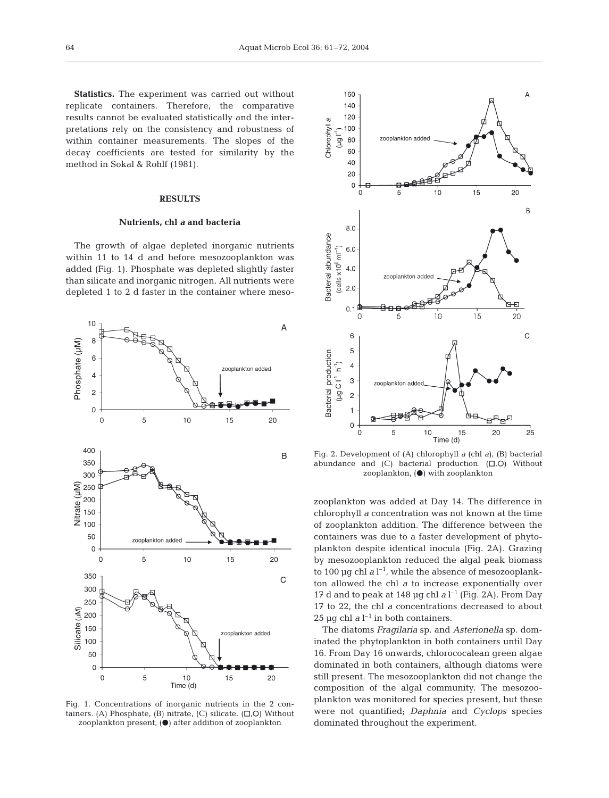**Statistics.** The experiment was carried out without replicate containers. Therefore, the comparative results cannot be evaluated statistically and the interpretations rely on the consistency and robustness of within container measurements. The slopes of the decay coefficients are tested for similarity by the method in Sokal & Rohlf (1981).

# **RESULTS**

#### **Nutrients, chl** *a* **and bacteria**

The growth of algae depleted inorganic nutrients within 11 to 14 d and before mesozooplankton was added (Fig. 1). Phosphate was depleted slightly faster than silicate and inorganic nitrogen. All nutrients were depleted 1 to 2 d faster in the container where meso-



Fig. 1. Concentrations of inorganic nutrients in the 2 containers. (A) Phosphate, (B) nitrate, (C) silicate.  $(\square, \square)$  Without zooplankton present, $(\bullet)$  after addition of zooplankton



Fig. 2. Development of (A) chlorophyll *a* (chl *a*), (B) bacterial abundance and  $(C)$  bacterial production.  $(\square, O)$  Without zooplankton,  $\left( \bullet \right)$  with zooplankton

zooplankton was added at Day 14. The difference in chlorophyll *a* concentration was not known at the time of zooplankton addition. The difference between the containers was due to a faster development of phytoplankton despite identical inocula (Fig. 2A). Grazing by mesozooplankton reduced the algal peak biomass to 100  $\mu$ g chl *a* l<sup>-1</sup>, while the absence of mesozooplankton allowed the chl *a* to increase exponentially over 17 d and to peak at 148  $\mu$ g chl *a* l<sup>-1</sup> (Fig. 2A). From Day 17 to 22, the chl *a* concentrations decreased to about 25 µg chl  $a l^{-1}$  in both containers.

The diatoms *Fragilaria* sp. and *Asterionella* sp. dominated the phytoplankton in both containers until Day 16. From Day 16 onwards, chlorococalean green algae dominated in both containers, although diatoms were still present. The mesozooplankton did not change the composition of the algal community. The mesozooplankton was monitored for species present, but these were not quantified; *Daphnia* and *Cyclops* species dominated throughout the experiment.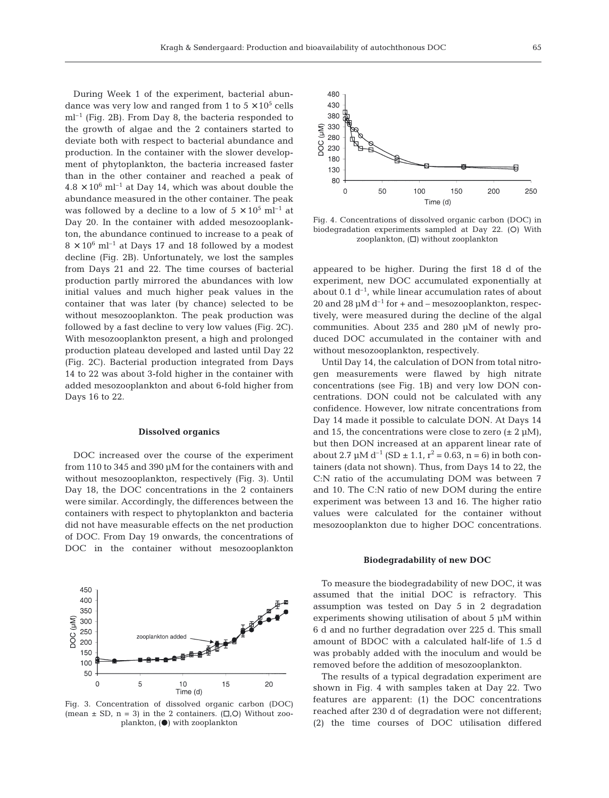During Week 1 of the experiment, bacterial abundance was very low and ranged from 1 to  $5 \times 10^5$  cells  $ml^{-1}$  (Fig. 2B). From Day 8, the bacteria responded to the growth of algae and the 2 containers started to deviate both with respect to bacterial abundance and production. In the container with the slower development of phytoplankton, the bacteria increased faster than in the other container and reached a peak of  $4.8 \times 10^6$  ml<sup>-1</sup> at Day 14, which was about double the abundance measured in the other container. The peak was followed by a decline to a low of  $5 \times 10^5$  ml<sup>-1</sup> at Day 20. In the container with added mesozooplankton, the abundance continued to increase to a peak of  $8 \times 10^6$  ml<sup>-1</sup> at Days 17 and 18 followed by a modest decline (Fig. 2B). Unfortunately, we lost the samples from Days 21 and 22. The time courses of bacterial production partly mirrored the abundances with low initial values and much higher peak values in the container that was later (by chance) selected to be without mesozooplankton. The peak production was followed by a fast decline to very low values (Fig. 2C). With mesozooplankton present, a high and prolonged production plateau developed and lasted until Day 22 (Fig. 2C). Bacterial production integrated from Days 14 to 22 was about 3-fold higher in the container with added mesozooplankton and about 6-fold higher from Days 16 to 22.

#### **Dissolved organics**

DOC increased over the course of the experiment from 110 to 345 and 390 µM for the containers with and without mesozooplankton, respectively (Fig. 3). Until Day 18, the DOC concentrations in the 2 containers were similar. Accordingly, the differences between the containers with respect to phytoplankton and bacteria did not have measurable effects on the net production of DOC. From Day 19 onwards, the concentrations of DOC in the container without mesozooplankton

450 400

350

 $\mathsf{C}$ 

(MI) 20C 300 **250** 

Fig. 3. Concentration of dissolved organic carbon (DOC) (mean  $\pm$  SD, n = 3) in the 2 containers. ( $\Box$ , $\Diamond$ ) Without zooplankton,  $\left( \bullet \right)$  with zooplankton

 $10$ 

Time (d)

zooplankton added

5

**ARE** 

15

**FRANCE** 

20



Fig. 4. Concentrations of dissolved organic carbon (DOC) in biodegradation experiments sampled at Day 22. (O) With zooplankton,  $(\Box)$  without zooplankton

appeared to be higher. During the first 18 d of the experiment, new DOC accumulated exponentially at about 0.1  $d^{-1}$ , while linear accumulation rates of about 20 and 28  $\mu$ M d<sup>-1</sup> for + and – mesozooplankton, respectively, were measured during the decline of the algal communities. About 235 and 280 µM of newly produced DOC accumulated in the container with and without mesozooplankton, respectively.

Until Day 14, the calculation of DON from total nitrogen measurements were flawed by high nitrate concentrations (see Fig. 1B) and very low DON concentrations. DON could not be calculated with any confidence. However, low nitrate concentrations from Day 14 made it possible to calculate DON. At Days 14 and 15, the concentrations were close to zero  $(\pm 2 \mu M)$ , but then DON increased at an apparent linear rate of about 2.7  $\mu$ M d<sup>-1</sup> (SD  $\pm$  1.1, r<sup>2</sup> = 0.63, n = 6) in both containers (data not shown). Thus, from Days 14 to 22, the C:N ratio of the accumulating DOM was between 7 and 10. The C:N ratio of new DOM during the entire experiment was between 13 and 16. The higher ratio values were calculated for the container without mesozooplankton due to higher DOC concentrations.

#### **Biodegradability of new DOC**

To measure the biodegradability of new DOC, it was assumed that the initial DOC is refractory. This assumption was tested on Day 5 in 2 degradation experiments showing utilisation of about  $5 \mu M$  within 6 d and no further degradation over 225 d. This small amount of BDOC with a calculated half-life of 1.5 d was probably added with the inoculum and would be removed before the addition of mesozooplankton.

The results of a typical degradation experiment are shown in Fig. 4 with samples taken at Day 22. Two features are apparent: (1) the DOC concentrations reached after 230 d of degradation were not different; (2) the time courses of DOC utilisation differed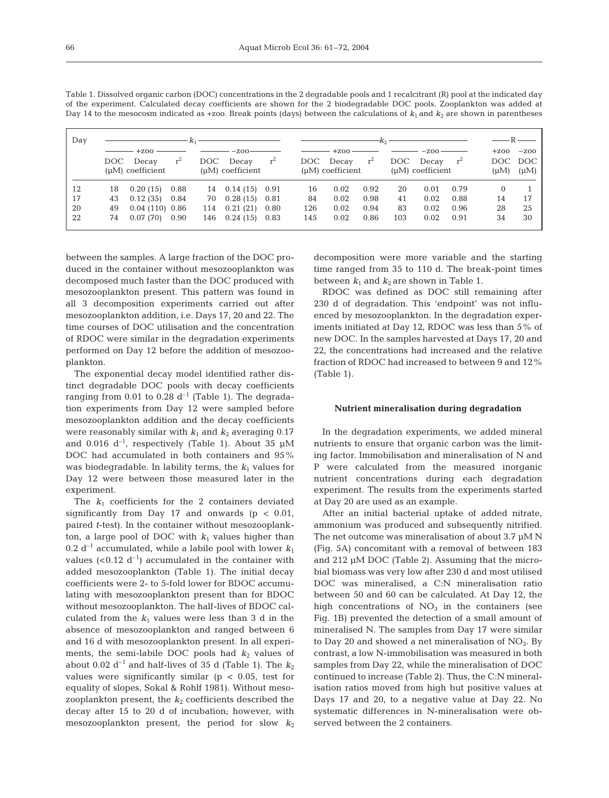| Day |     |                                                |       |       |                       |       | $-K_2$ – |                       |       |       |           | $-$ R $-$           |        |         |
|-----|-----|------------------------------------------------|-------|-------|-----------------------|-------|----------|-----------------------|-------|-------|-----------|---------------------|--------|---------|
|     |     | $+7.00$                                        |       |       | $-7.00$               |       |          | $+7.00$               |       |       | $-7.00 -$ |                     | $+200$ | $-200$  |
|     | DOC | Decay                                          | $r^2$ | DOC . | Decay                 | $r^2$ |          | DOC Decay             | $r^2$ | DOC - | Decay     | $r^2$               |        | DOC DOC |
|     |     | $(\mu M)$ coefficient<br>$(\mu M)$ coefficient |       |       | $(\mu M)$ coefficient |       |          | $(\mu M)$ coefficient |       |       |           | $(\mu M)$ $(\mu M)$ |        |         |
| 12  | 18  | 0.20(15)                                       | 0.88  |       | 14 0.14 (15) 0.91     |       | 16       | 0.02                  | 0.92  | 20    | 0.01      | 0.79                |        |         |
| 17  | 43  | 0.12(35)                                       | 0.84  | 70    | 0.28(15)              | 0.81  | 84       | 0.02                  | 0.98  | 41    | 0.02      | 0.88                | 14     | 17      |
| 20  | 49  | $0.04(110)$ 0.86                               |       | 114   | 0.21(21)              | 0.80  | 126      | 0.02                  | 0.94  | 83    | 0.02      | 0.96                | 28     | 25      |
| 22  | 74  | 0.07(70)                                       | 0.90  | 146   | 0.24(15)              | 0.83  | 145      | 0.02                  | 0.86  | 103   | 0.02      | 0.91                | 34     | 30      |

Table 1. Dissolved organic carbon (DOC) concentrations in the 2 degradable pools and 1 recalcitrant (R) pool at the indicated day of the experiment. Calculated decay coefficients are shown for the 2 biodegradable DOC pools. Zooplankton was added at

between the samples. A large fraction of the DOC produced in the container without mesozooplankton was decomposed much faster than the DOC produced with mesozooplankton present. This pattern was found in all 3 decomposition experiments carried out after mesozooplankton addition, i.e. Days 17, 20 and 22. The time courses of DOC utilisation and the concentration of RDOC were similar in the degradation experiments performed on Day 12 before the addition of mesozooplankton.

The exponential decay model identified rather distinct degradable DOC pools with decay coefficients ranging from 0.01 to 0.28  $d^{-1}$  (Table 1). The degradation experiments from Day 12 were sampled before mesozooplankton addition and the decay coefficients were reasonably similar with  $k_1$  and  $k_2$  averaging 0.17 and 0.016  $d^{-1}$ , respectively (Table 1). About 35  $\mu$ M DOC had accumulated in both containers and 95% was biodegradable. In lability terms, the  $k_1$  values for Day 12 were between those measured later in the experiment.

The  $k_1$  coefficients for the 2 containers deviated significantly from Day 17 and onwards  $(p < 0.01$ , paired *t*-test). In the container without mesozooplankton, a large pool of DOC with  $k_1$  values higher than 0.2  $d^{-1}$  accumulated, while a labile pool with lower  $k_1$ values  $( $0.12 \, d^{-1}$ ) accumulated in the container with$ added mesozooplankton (Table 1). The initial decay coefficients were 2- to 5-fold lower for BDOC accumulating with mesozooplankton present than for BDOC without mesozooplankton. The half-lives of BDOC calculated from the  $k_1$  values were less than 3 d in the absence of mesozooplankton and ranged between 6 and 16 d with mesozooplankton present. In all experiments, the semi-labile DOC pools had  $k_2$  values of about 0.02  $d^{-1}$  and half-lives of 35 d (Table 1). The  $k_2$ values were significantly similar ( $p < 0.05$ , test for equality of slopes, Sokal & Rohlf 1981). Without mesozooplankton present, the  $k_2$  coefficients described the decay after 15 to 20 d of incubation; however, with mesozooplankton present, the period for slow  $k_2$  decomposition were more variable and the starting time ranged from 35 to 110 d. The break-point times between  $k_1$  and  $k_2$  are shown in Table 1.

RDOC was defined as DOC still remaining after 230 d of degradation. This 'endpoint' was not influenced by mesozooplankton. In the degradation experiments initiated at Day 12, RDOC was less than 5% of new DOC. In the samples harvested at Days 17, 20 and 22, the concentrations had increased and the relative fraction of RDOC had increased to between 9 and 12% (Table 1).

#### **Nutrient mineralisation during degradation**

In the degradation experiments, we added mineral nutrients to ensure that organic carbon was the limiting factor. Immobilisation and mineralisation of N and P were calculated from the measured inorganic nutrient concentrations during each degradation experiment. The results from the experiments started at Day 20 are used as an example.

After an initial bacterial uptake of added nitrate, ammonium was produced and subsequently nitrified. The net outcome was mineralisation of about 3.7 µM N (Fig. 5A) concomitant with a removal of between 183 and 212 µM DOC (Table 2). Assuming that the microbial biomass was very low after 230 d and most utilised DOC was mineralised, a C:N mineralisation ratio between 50 and 60 can be calculated. At Day 12, the high concentrations of  $NO<sub>3</sub>$  in the containers (see Fig. 1B) prevented the detection of a small amount of mineralised N. The samples from Day 17 were similar to Day 20 and showed a net mineralisation of  $NO<sub>3</sub>$ . By contrast, a low N-immobilisation was measured in both samples from Day 22, while the mineralisation of DOC continued to increase (Table 2). Thus, the C:N mineralisation ratios moved from high but positive values at Days 17 and 20, to a negative value at Day 22. No systematic differences in N-mineralisation were observed between the 2 containers.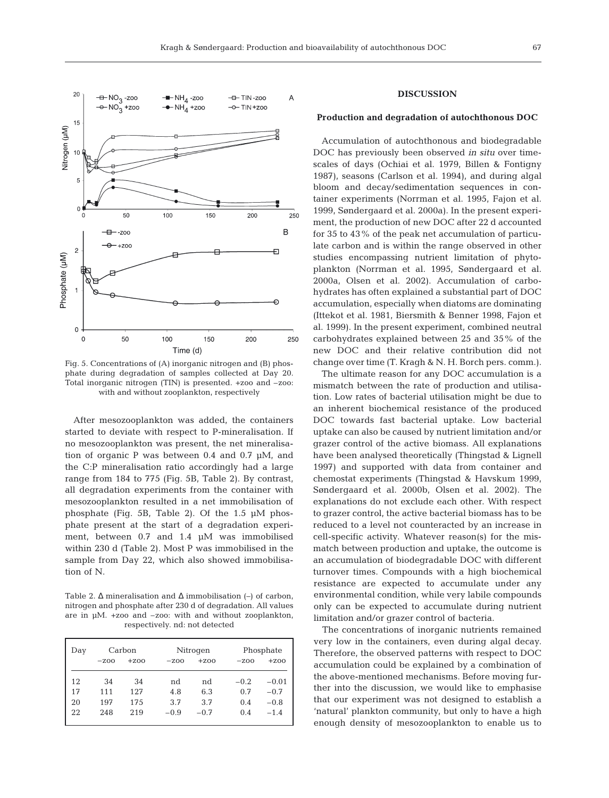

Fig. 5. Concentrations of (A) inorganic nitrogen and (B) phosphate during degradation of samples collected at Day 20. Total inorganic nitrogen (TIN) is presented. +zoo and –zoo: with and without zooplankton, respectively

After mesozooplankton was added, the containers started to deviate with respect to P-mineralisation. If no mesozooplankton was present, the net mineralisation of organic P was between 0.4 and 0.7 µM, and the C:P mineralisation ratio accordingly had a large range from 184 to 775 (Fig. 5B, Table 2). By contrast, all degradation experiments from the container with mesozooplankton resulted in a net immobilisation of phosphate (Fig. 5B, Table 2). Of the 1.5 µM phosphate present at the start of a degradation experiment, between 0.7 and 1.4 µM was immobilised within 230 d (Table 2). Most P was immobilised in the sample from Day 22, which also showed immobilisation of N.

Table 2. ∆ mineralisation and ∆ immobilisation (–) of carbon, nitrogen and phosphate after 230 d of degradation. All values are in µM. +zoo and –zoo: with and without zooplankton, respectively. nd: not detected

| Day |        | Carbon  |        | Nitrogen | Phosphate |         |  |
|-----|--------|---------|--------|----------|-----------|---------|--|
|     | $-200$ | $+7.00$ | $-200$ | $+200$   | $-200$    | $+200$  |  |
| 12  | 34     | 34      | nd     | nd       | $-0.2$    | $-0.01$ |  |
| 17  | 111    | 127     | 4.8    | 6.3      | 0.7       | $-0.7$  |  |
| 20  | 197    | 175     | 3.7    | 3.7      | 0.4       | $-0.8$  |  |
| 22  | 248    | 219     | $-0.9$ | $-0.7$   | 0.4       | $-1.4$  |  |
|     |        |         |        |          |           |         |  |

### **DISCUSSION**

## **Production and degradation of autochthonous DOC**

Accumulation of autochthonous and biodegradable DOC has previously been observed *in situ* over timescales of days (Ochiai et al. 1979, Billen & Fontigny 1987), seasons (Carlson et al. 1994), and during algal bloom and decay/sedimentation sequences in container experiments (Norrman et al. 1995, Fajon et al. 1999, Søndergaard et al. 2000a). In the present experiment, the production of new DOC after 22 d accounted for 35 to 43% of the peak net accumulation of particulate carbon and is within the range observed in other studies encompassing nutrient limitation of phytoplankton (Norrman et al. 1995, Søndergaard et al. 2000a, Olsen et al. 2002). Accumulation of carbohydrates has often explained a substantial part of DOC accumulation, especially when diatoms are dominating (Ittekot et al. 1981, Biersmith & Benner 1998, Fajon et al. 1999). In the present experiment, combined neutral carbohydrates explained between 25 and 35% of the new DOC and their relative contribution did not change over time (T. Kragh & N. H. Borch pers. comm.).

The ultimate reason for any DOC accumulation is a mismatch between the rate of production and utilisation. Low rates of bacterial utilisation might be due to an inherent biochemical resistance of the produced DOC towards fast bacterial uptake. Low bacterial uptake can also be caused by nutrient limitation and/or grazer control of the active biomass. All explanations have been analysed theoretically (Thingstad & Lignell 1997) and supported with data from container and chemostat experiments (Thingstad & Havskum 1999, Søndergaard et al. 2000b, Olsen et al. 2002). The explanations do not exclude each other. With respect to grazer control, the active bacterial biomass has to be reduced to a level not counteracted by an increase in cell-specific activity. Whatever reason(s) for the mismatch between production and uptake, the outcome is an accumulation of biodegradable DOC with different turnover times. Compounds with a high biochemical resistance are expected to accumulate under any environmental condition, while very labile compounds only can be expected to accumulate during nutrient limitation and/or grazer control of bacteria.

The concentrations of inorganic nutrients remained very low in the containers, even during algal decay. Therefore, the observed patterns with respect to DOC accumulation could be explained by a combination of the above-mentioned mechanisms. Before moving further into the discussion, we would like to emphasise that our experiment was not designed to establish a 'natural' plankton community, but only to have a high enough density of mesozooplankton to enable us to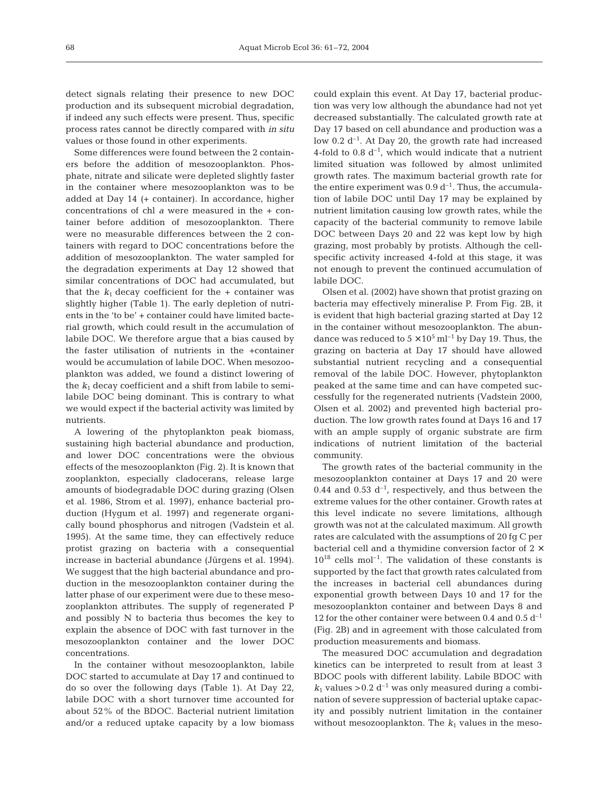detect signals relating their presence to new DOC production and its subsequent microbial degradation, if indeed any such effects were present. Thus, specific process rates cannot be directly compared with *in situ* values or those found in other experiments.

Some differences were found between the 2 containers before the addition of mesozooplankton. Phosphate, nitrate and silicate were depleted slightly faster in the container where mesozooplankton was to be added at Day 14 (+ container). In accordance, higher concentrations of chl *a* were measured in the + container before addition of mesozooplankton. There were no measurable differences between the 2 containers with regard to DOC concentrations before the addition of mesozooplankton. The water sampled for the degradation experiments at Day 12 showed that similar concentrations of DOC had accumulated, but that the  $k_1$  decay coefficient for the  $+$  container was slightly higher (Table 1). The early depletion of nutrients in the 'to be' + container could have limited bacterial growth, which could result in the accumulation of labile DOC. We therefore argue that a bias caused by the faster utilisation of nutrients in the +container would be accumulation of labile DOC. When mesozooplankton was added, we found a distinct lowering of the *k*<sup>1</sup> decay coefficient and a shift from labile to semilabile DOC being dominant. This is contrary to what we would expect if the bacterial activity was limited by nutrients.

A lowering of the phytoplankton peak biomass, sustaining high bacterial abundance and production, and lower DOC concentrations were the obvious effects of the mesozooplankton (Fig. 2). It is known that zooplankton, especially cladocerans, release large amounts of biodegradable DOC during grazing (Olsen et al. 1986, Strom et al. 1997), enhance bacterial production (Hygum et al. 1997) and regenerate organically bound phosphorus and nitrogen (Vadstein et al. 1995). At the same time, they can effectively reduce protist grazing on bacteria with a consequential increase in bacterial abundance (Jürgens et al. 1994). We suggest that the high bacterial abundance and production in the mesozooplankton container during the latter phase of our experiment were due to these mesozooplankton attributes. The supply of regenerated P and possibly N to bacteria thus becomes the key to explain the absence of DOC with fast turnover in the mesozooplankton container and the lower DOC concentrations.

In the container without mesozooplankton, labile DOC started to accumulate at Day 17 and continued to do so over the following days (Table 1). At Day 22, labile DOC with a short turnover time accounted for about 52% of the BDOC. Bacterial nutrient limitation and/or a reduced uptake capacity by a low biomass

could explain this event. At Day 17, bacterial production was very low although the abundance had not yet decreased substantially. The calculated growth rate at Day 17 based on cell abundance and production was a low  $0.2 d^{-1}$ . At Day 20, the growth rate had increased 4-fold to 0.8  $d^{-1}$ , which would indicate that a nutrient limited situation was followed by almost unlimited growth rates. The maximum bacterial growth rate for the entire experiment was  $0.9 d^{-1}$ . Thus, the accumulation of labile DOC until Day 17 may be explained by nutrient limitation causing low growth rates, while the capacity of the bacterial community to remove labile DOC between Days 20 and 22 was kept low by high grazing, most probably by protists. Although the cellspecific activity increased 4-fold at this stage, it was not enough to prevent the continued accumulation of labile DOC.

Olsen et al. (2002) have shown that protist grazing on bacteria may effectively mineralise P. From Fig. 2B, it is evident that high bacterial grazing started at Day 12 in the container without mesozooplankton. The abundance was reduced to  $5 \times 10^5$  ml<sup>-1</sup> by Day 19. Thus, the grazing on bacteria at Day 17 should have allowed substantial nutrient recycling and a consequential removal of the labile DOC. However, phytoplankton peaked at the same time and can have competed successfully for the regenerated nutrients (Vadstein 2000, Olsen et al. 2002) and prevented high bacterial production. The low growth rates found at Days 16 and 17 with an ample supply of organic substrate are firm indications of nutrient limitation of the bacterial community.

The growth rates of the bacterial community in the mesozooplankton container at Days 17 and 20 were 0.44 and 0.53  $d^{-1}$ , respectively, and thus between the extreme values for the other container. Growth rates at this level indicate no severe limitations, although growth was not at the calculated maximum. All growth rates are calculated with the assumptions of 20 fg C per bacterial cell and a thymidine conversion factor of  $2 \times$  $10^{18}$  cells mol<sup>-1</sup>. The validation of these constants is supported by the fact that growth rates calculated from the increases in bacterial cell abundances during exponential growth between Days 10 and 17 for the mesozooplankton container and between Days 8 and 12 for the other container were between 0.4 and 0.5  $d^{-1}$ (Fig. 2B) and in agreement with those calculated from production measurements and biomass.

The measured DOC accumulation and degradation kinetics can be interpreted to result from at least 3 BDOC pools with different lability. Labile BDOC with  $k_1$  values > 0.2  $d^{-1}$  was only measured during a combination of severe suppression of bacterial uptake capacity and possibly nutrient limitation in the container without mesozooplankton. The  $k_1$  values in the meso-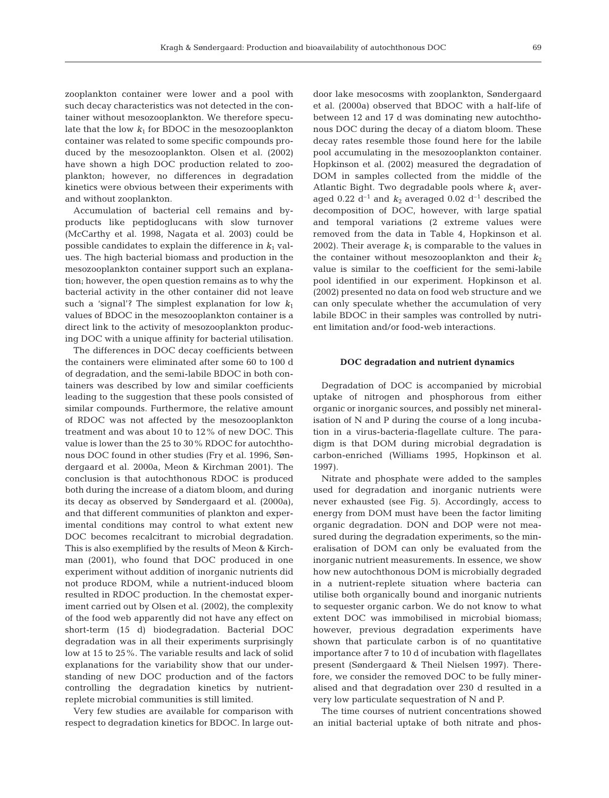zooplankton container were lower and a pool with such decay characteristics was not detected in the container without mesozooplankton. We therefore speculate that the low  $k_1$  for BDOC in the mesozooplankton container was related to some specific compounds produced by the mesozooplankton. Olsen et al. (2002) have shown a high DOC production related to zooplankton; however, no differences in degradation kinetics were obvious between their experiments with and without zooplankton.

Accumulation of bacterial cell remains and byproducts like peptidoglucans with slow turnover (McCarthy et al. 1998, Nagata et al. 2003) could be possible candidates to explain the difference in  $k_1$  values. The high bacterial biomass and production in the mesozooplankton container support such an explanation; however, the open question remains as to why the bacterial activity in the other container did not leave such a 'signal'? The simplest explanation for low  $k_1$ values of BDOC in the mesozooplankton container is a direct link to the activity of mesozooplankton producing DOC with a unique affinity for bacterial utilisation.

The differences in DOC decay coefficients between the containers were eliminated after some 60 to 100 d of degradation, and the semi-labile BDOC in both containers was described by low and similar coefficients leading to the suggestion that these pools consisted of similar compounds. Furthermore, the relative amount of RDOC was not affected by the mesozooplankton treatment and was about 10 to 12% of new DOC. This value is lower than the 25 to 30% RDOC for autochthonous DOC found in other studies (Fry et al. 1996, Søndergaard et al. 2000a, Meon & Kirchman 2001). The conclusion is that autochthonous RDOC is produced both during the increase of a diatom bloom, and during its decay as observed by Søndergaard et al. (2000a), and that different communities of plankton and experimental conditions may control to what extent new DOC becomes recalcitrant to microbial degradation. This is also exemplified by the results of Meon & Kirchman (2001), who found that DOC produced in one experiment without addition of inorganic nutrients did not produce RDOM, while a nutrient-induced bloom resulted in RDOC production. In the chemostat experiment carried out by Olsen et al. (2002), the complexity of the food web apparently did not have any effect on short-term (15 d) biodegradation. Bacterial DOC degradation was in all their experiments surprisingly low at 15 to 25%. The variable results and lack of solid explanations for the variability show that our understanding of new DOC production and of the factors controlling the degradation kinetics by nutrientreplete microbial communities is still limited.

Very few studies are available for comparison with respect to degradation kinetics for BDOC. In large out-

door lake mesocosms with zooplankton, Søndergaard et al. (2000a) observed that BDOC with a half-life of between 12 and 17 d was dominating new autochthonous DOC during the decay of a diatom bloom. These decay rates resemble those found here for the labile pool accumulating in the mesozooplankton container. Hopkinson et al. (2002) measured the degradation of DOM in samples collected from the middle of the Atlantic Bight. Two degradable pools where  $k_1$  averaged 0.22  $d^{-1}$  and  $k_2$  averaged 0.02  $d^{-1}$  described the decomposition of DOC, however, with large spatial and temporal variations (2 extreme values were removed from the data in Table 4, Hopkinson et al. 2002). Their average  $k_1$  is comparable to the values in the container without mesozooplankton and their  $k_2$ value is similar to the coefficient for the semi-labile pool identified in our experiment. Hopkinson et al. (2002) presented no data on food web structure and we can only speculate whether the accumulation of very labile BDOC in their samples was controlled by nutrient limitation and/or food-web interactions.

## **DOC degradation and nutrient dynamics**

Degradation of DOC is accompanied by microbial uptake of nitrogen and phosphorous from either organic or inorganic sources, and possibly net mineralisation of N and P during the course of a long incubation in a virus-bacteria-flagellate culture. The paradigm is that DOM during microbial degradation is carbon-enriched (Williams 1995, Hopkinson et al. 1997).

Nitrate and phosphate were added to the samples used for degradation and inorganic nutrients were never exhausted (see Fig. 5). Accordingly, access to energy from DOM must have been the factor limiting organic degradation. DON and DOP were not measured during the degradation experiments, so the mineralisation of DOM can only be evaluated from the inorganic nutrient measurements. In essence, we show how new autochthonous DOM is microbially degraded in a nutrient-replete situation where bacteria can utilise both organically bound and inorganic nutrients to sequester organic carbon. We do not know to what extent DOC was immobilised in microbial biomass; however, previous degradation experiments have shown that particulate carbon is of no quantitative importance after 7 to 10 d of incubation with flagellates present (Søndergaard & Theil Nielsen 1997). Therefore, we consider the removed DOC to be fully mineralised and that degradation over 230 d resulted in a very low particulate sequestration of N and P.

The time courses of nutrient concentrations showed an initial bacterial uptake of both nitrate and phos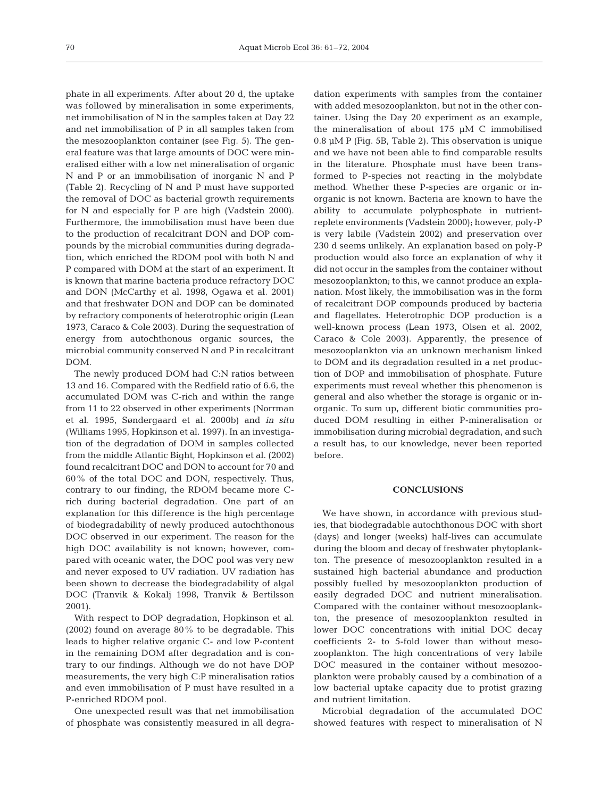phate in all experiments. After about 20 d, the uptake was followed by mineralisation in some experiments, net immobilisation of N in the samples taken at Day 22 and net immobilisation of P in all samples taken from the mesozooplankton container (see Fig. 5). The general feature was that large amounts of DOC were mineralised either with a low net mineralisation of organic N and P or an immobilisation of inorganic N and P (Table 2). Recycling of N and P must have supported the removal of DOC as bacterial growth requirements for N and especially for P are high (Vadstein 2000). Furthermore, the immobilisation must have been due to the production of recalcitrant DON and DOP compounds by the microbial communities during degradation, which enriched the RDOM pool with both N and P compared with DOM at the start of an experiment. It is known that marine bacteria produce refractory DOC and DON (McCarthy et al. 1998, Ogawa et al. 2001) and that freshwater DON and DOP can be dominated by refractory components of heterotrophic origin (Lean 1973, Caraco & Cole 2003). During the sequestration of energy from autochthonous organic sources, the microbial community conserved N and P in recalcitrant DOM.

The newly produced DOM had C:N ratios between 13 and 16. Compared with the Redfield ratio of 6.6, the accumulated DOM was C-rich and within the range from 11 to 22 observed in other experiments (Norrman et al. 1995, Søndergaard et al. 2000b) and *in situ* (Williams 1995, Hopkinson et al. 1997). In an investigation of the degradation of DOM in samples collected from the middle Atlantic Bight, Hopkinson et al. (2002) found recalcitrant DOC and DON to account for 70 and 60% of the total DOC and DON, respectively. Thus, contrary to our finding, the RDOM became more Crich during bacterial degradation. One part of an explanation for this difference is the high percentage of biodegradability of newly produced autochthonous DOC observed in our experiment. The reason for the high DOC availability is not known; however, compared with oceanic water, the DOC pool was very new and never exposed to UV radiation. UV radiation has been shown to decrease the biodegradability of algal DOC (Tranvik & Kokalj 1998, Tranvik & Bertilsson 2001).

With respect to DOP degradation, Hopkinson et al. (2002) found on average 80% to be degradable. This leads to higher relative organic C- and low P-content in the remaining DOM after degradation and is contrary to our findings. Although we do not have DOP measurements, the very high C:P mineralisation ratios and even immobilisation of P must have resulted in a P-enriched RDOM pool.

One unexpected result was that net immobilisation of phosphate was consistently measured in all degra-

dation experiments with samples from the container with added mesozooplankton, but not in the other container. Using the Day 20 experiment as an example, the mineralisation of about 175 µM C immobilised 0.8 µM P (Fig. 5B, Table 2). This observation is unique and we have not been able to find comparable results in the literature. Phosphate must have been transformed to P-species not reacting in the molybdate method. Whether these P-species are organic or inorganic is not known. Bacteria are known to have the ability to accumulate polyphosphate in nutrientreplete environments (Vadstein 2000); however, poly-P is very labile (Vadstein 2002) and preservation over 230 d seems unlikely. An explanation based on poly-P production would also force an explanation of why it did not occur in the samples from the container without mesozooplankton; to this, we cannot produce an explanation. Most likely, the immobilisation was in the form of recalcitrant DOP compounds produced by bacteria and flagellates. Heterotrophic DOP production is a well-known process (Lean 1973, Olsen et al. 2002, Caraco & Cole 2003). Apparently, the presence of mesozooplankton via an unknown mechanism linked to DOM and its degradation resulted in a net production of DOP and immobilisation of phosphate. Future experiments must reveal whether this phenomenon is general and also whether the storage is organic or inorganic. To sum up, different biotic communities produced DOM resulting in either P-mineralisation or immobilisation during microbial degradation, and such a result has, to our knowledge, never been reported before.

## **CONCLUSIONS**

We have shown, in accordance with previous studies, that biodegradable autochthonous DOC with short (days) and longer (weeks) half-lives can accumulate during the bloom and decay of freshwater phytoplankton. The presence of mesozooplankton resulted in a sustained high bacterial abundance and production possibly fuelled by mesozooplankton production of easily degraded DOC and nutrient mineralisation. Compared with the container without mesozooplankton, the presence of mesozooplankton resulted in lower DOC concentrations with initial DOC decay coefficients 2- to 5-fold lower than without mesozooplankton. The high concentrations of very labile DOC measured in the container without mesozooplankton were probably caused by a combination of a low bacterial uptake capacity due to protist grazing and nutrient limitation.

Microbial degradation of the accumulated DOC showed features with respect to mineralisation of N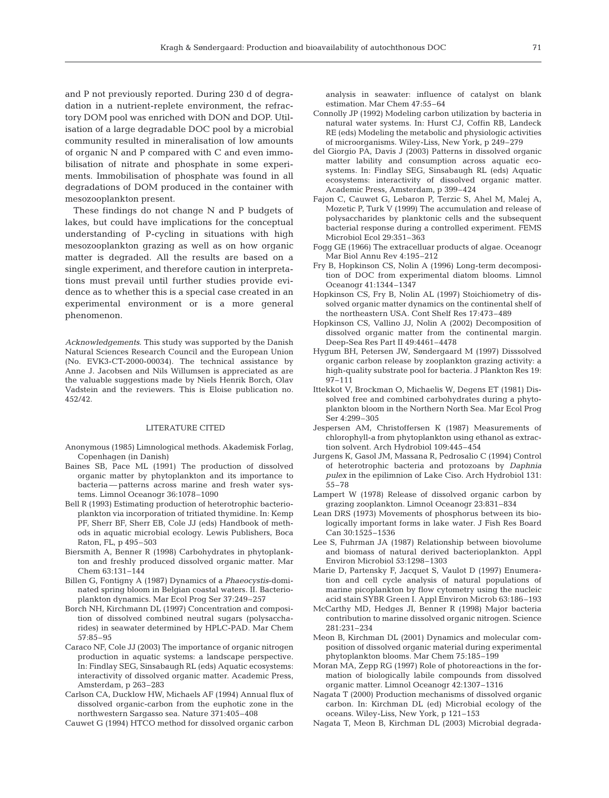and P not previously reported. During 230 d of degradation in a nutrient-replete environment, the refractory DOM pool was enriched with DON and DOP. Utilisation of a large degradable DOC pool by a microbial community resulted in mineralisation of low amounts of organic N and P compared with C and even immobilisation of nitrate and phosphate in some experiments. Immobilisation of phosphate was found in all degradations of DOM produced in the container with mesozooplankton present.

These findings do not change N and P budgets of lakes, but could have implications for the conceptual understanding of P-cycling in situations with high mesozooplankton grazing as well as on how organic matter is degraded. All the results are based on a single experiment, and therefore caution in interpretations must prevail until further studies provide evidence as to whether this is a special case created in an experimental environment or is a more general phenomenon.

*Acknowledgements*. This study was supported by the Danish Natural Sciences Research Council and the European Union (No. EVK3-CT-2000-00034). The technical assistance by Anne J. Jacobsen and Nils Willumsen is appreciated as are the valuable suggestions made by Niels Henrik Borch, Olav Vadstein and the reviewers. This is Eloise publication no. 452/42.

#### LITERATURE CITED

- Anonymous (1985) Limnological methods. Akademisk Forlag, Copenhagen (in Danish)
- Baines SB, Pace ML (1991) The production of dissolved organic matter by phytoplankton and its importance to bacteria — patterns across marine and fresh water systems. Limnol Oceanogr 36:1078–1090
- Bell R (1993) Estimating production of heterotrophic bacterioplankton via incorporation of tritiated thymidine. In: Kemp PF, Sherr BF, Sherr EB, Cole JJ (eds) Handbook of methods in aquatic microbial ecology. Lewis Publishers, Boca Raton, FL, p 495–503
- Biersmith A, Benner R (1998) Carbohydrates in phytoplankton and freshly produced dissolved organic matter. Mar Chem 63:131–144
- Billen G, Fontigny A (1987) Dynamics of a *Phaeocystis*-dominated spring bloom in Belgian coastal waters. II. Bacterioplankton dynamics. Mar Ecol Prog Ser 37:249–257
- Borch NH, Kirchmann DL (1997) Concentration and composition of dissolved combined neutral sugars (polysaccharides) in seawater determined by HPLC-PAD. Mar Chem 57:85–95
- Caraco NF, Cole JJ (2003) The importance of organic nitrogen production in aquatic systems: a landscape perspective. In: Findlay SEG, Sinsabaugh RL (eds) Aquatic ecosystems: interactivity of dissolved organic matter. Academic Press, Amsterdam, p 263–283
- Carlson CA, Ducklow HW, Michaels AF (1994) Annual flux of dissolved organic-carbon from the euphotic zone in the northwestern Sargasso sea. Nature 371:405–408

Cauwet G (1994) HTCO method for dissolved organic carbon

analysis in seawater: influence of catalyst on blank estimation. Mar Chem 47:55–64

- Connolly JP (1992) Modeling carbon utilization by bacteria in natural water systems. In: Hurst CJ, Coffin RB, Landeck RE (eds) Modeling the metabolic and physiologic activities of microorganisms. Wiley-Liss, New York, p 249–279
- del Giorgio PA, Davis J (2003) Patterns in dissolved organic matter lability and consumption across aquatic ecosystems. In: Findlay SEG, Sinsabaugh RL (eds) Aquatic ecosystems: interactivity of dissolved organic matter. Academic Press, Amsterdam, p 399–424
- Fajon C, Cauwet G, Lebaron P, Terzic S, Ahel M, Malej A, Mozetic P, Turk V (1999) The accumulation and release of polysaccharides by planktonic cells and the subsequent bacterial response during a controlled experiment. FEMS Microbiol Ecol 29:351–363
- Fogg GE (1966) The extracelluar products of algae. Oceanogr Mar Biol Annu Rev 4:195–212
- Fry B, Hopkinson CS, Nolin A (1996) Long-term decomposition of DOC from experimental diatom blooms. Limnol Oceanogr 41:1344–1347
- Hopkinson CS, Fry B, Nolin AL (1997) Stoichiometry of dissolved organic matter dynamics on the continental shelf of the northeastern USA. Cont Shelf Res 17:473–489
- Hopkinson CS, Vallino JJ, Nolin A (2002) Decomposition of dissolved organic matter from the continental margin. Deep-Sea Res Part II 49:4461–4478
- Hygum BH, Petersen JW, Søndergaard M (1997) Disssolved organic carbon release by zooplankton grazing activity: a high-quality substrate pool for bacteria. J Plankton Res 19: 97–111
- Ittekkot V, Brockman O, Michaelis W, Degens ET (1981) Dissolved free and combined carbohydrates during a phytoplankton bloom in the Northern North Sea. Mar Ecol Prog Ser 4:299–305
- Jespersen AM, Christoffersen K (1987) Measurements of chlorophyll-a from phytoplankton using ethanol as extraction solvent. Arch Hydrobiol 109:445–454
- Jurgens K, Gasol JM, Massana R, Pedrosalio C (1994) Control of heterotrophic bacteria and protozoans by *Daphnia pulex* in the epilimnion of Lake Ciso. Arch Hydrobiol 131: 55–78
- Lampert W (1978) Release of dissolved organic carbon by grazing zooplankton. Limnol Oceanogr 23:831–834
- Lean DRS (1973) Movements of phosphorus between its biologically important forms in lake water. J Fish Res Board Can 30:1525–1536
- Lee S, Fuhrman JA (1987) Relationship between biovolume and biomass of natural derived bacterioplankton. Appl Environ Microbiol 53:1298–1303
- Marie D, Partensky F, Jacquet S, Vaulot D (1997) Enumeration and cell cycle analysis of natural populations of marine picoplankton by flow cytometry using the nucleic acid stain SYBR Green I. Appl Environ Microb 63:186–193
- McCarthy MD, Hedges JI, Benner R (1998) Major bacteria contribution to marine dissolved organic nitrogen. Science 281:231–234
- Meon B, Kirchman DL (2001) Dynamics and molecular composition of dissolved organic material during experimental phytoplankton blooms. Mar Chem 75:185–199
- Moran MA, Zepp RG (1997) Role of photoreactions in the formation of biologically labile compounds from dissolved organic matter. Limnol Oceanogr 42:1307–1316
- Nagata T (2000) Production mechanisms of dissolved organic carbon. In: Kirchman DL (ed) Microbial ecology of the oceans. Wiley-Liss, New York, p 121–153
- Nagata T, Meon B, Kirchman DL (2003) Microbial degrada-